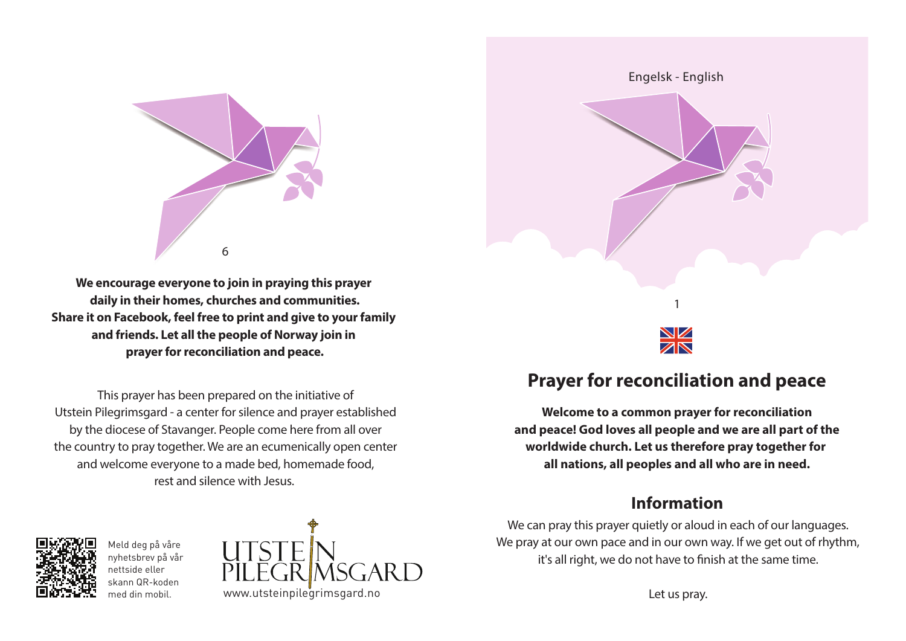

**We encourage everyone to join in praying this prayer daily in their homes, churches and communities. Share it on Facebook, feel free to print and give to your family and friends. Let all the people of Norway join in prayer for reconciliation and peace.**

This prayer has been prepared on the initiative of Utstein Pilegrimsgard - a center for silence and prayer established by the diocese of Stavanger. People come here from all over the country to pray together. We are an ecumenically open center and welcome everyone to a made bed, homemade food, rest and silence with Jesus.



Meld deg på våre nyhetsbrev på vår nettside eller skann QR-koden med din mobil.





# **Prayer for reconciliation and peace**

**Welcome to a common prayer for reconciliation and peace! God loves all people and we are all part of the worldwide church. Let us therefore pray together for all nations, all peoples and all who are in need.**

## **Information**

We can pray this prayer quietly or aloud in each of our languages. We pray at our own pace and in our own way. If we get out of rhythm, it's all right, we do not have to finish at the same time.

Let us pray.